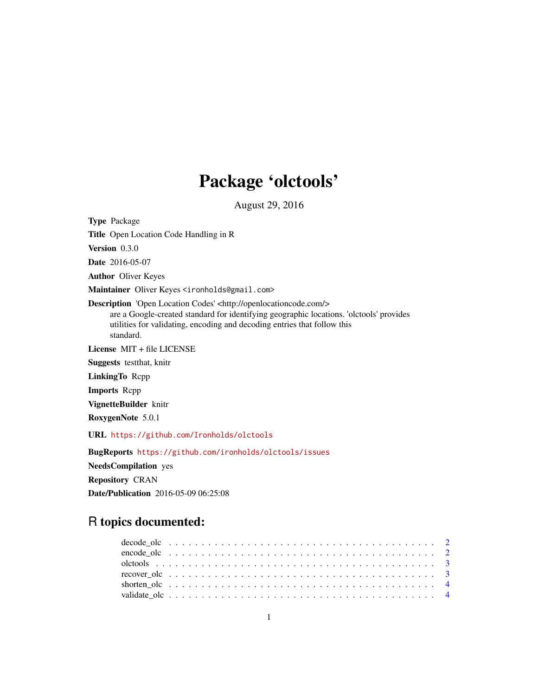# Package 'olctools'

August 29, 2016

Type Package Title Open Location Code Handling in R Version 0.3.0 Date 2016-05-07 Author Oliver Keyes Maintainer Oliver Keyes <ironholds@gmail.com> Description 'Open Location Codes' <http://openlocationcode.com/> are a Google-created standard for identifying geographic locations. 'olctools' provides utilities for validating, encoding and decoding entries that follow this standard. License MIT + file LICENSE Suggests testthat, knitr LinkingTo Rcpp Imports Rcpp VignetteBuilder knitr RoxygenNote 5.0.1 URL <https://github.com/Ironholds/olctools>

BugReports <https://github.com/ironholds/olctools/issues> NeedsCompilation yes Repository CRAN Date/Publication 2016-05-09 06:25:08

## R topics documented: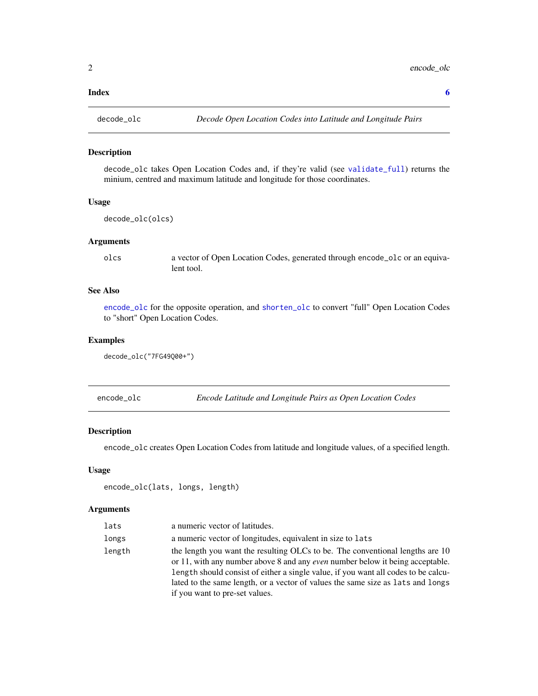#### <span id="page-1-0"></span>**Index** [6](#page-5-0) **6**

<span id="page-1-2"></span>

#### Description

decode\_olc takes Open Location Codes and, if they're valid (see [validate\\_full](#page-3-1)) returns the minium, centred and maximum latitude and longitude for those coordinates.

#### Usage

```
decode_olc(olcs)
```
#### Arguments

olcs a vector of Open Location Codes, generated through encode\_olc or an equivalent tool.

#### See Also

[encode\\_olc](#page-1-1) for the opposite operation, and [shorten\\_olc](#page-3-2) to convert "full" Open Location Codes to "short" Open Location Codes.

#### Examples

```
decode_olc("7FG49Q00+")
```
<span id="page-1-1"></span>

| encode_olc |  | Encode Latitude and Longitude Pairs as Open Location Codes |
|------------|--|------------------------------------------------------------|
|            |  |                                                            |

#### Description

encode\_olc creates Open Location Codes from latitude and longitude values, of a specified length.

#### Usage

```
encode_olc(lats, longs, length)
```
#### Arguments

| lats   | a numeric vector of latitudes.                                                                                                                                                                                                                                                                                                                                                   |
|--------|----------------------------------------------------------------------------------------------------------------------------------------------------------------------------------------------------------------------------------------------------------------------------------------------------------------------------------------------------------------------------------|
| longs  | a numeric vector of longitudes, equivalent in size to lats                                                                                                                                                                                                                                                                                                                       |
| length | the length you want the resulting OLCs to be. The conventional lengths are 10<br>or 11, with any number above 8 and any <i>even</i> number below it being acceptable.<br>length should consist of either a single value, if you want all codes to be calcu-<br>lated to the same length, or a vector of values the same size as lats and longs<br>if you want to pre-set values. |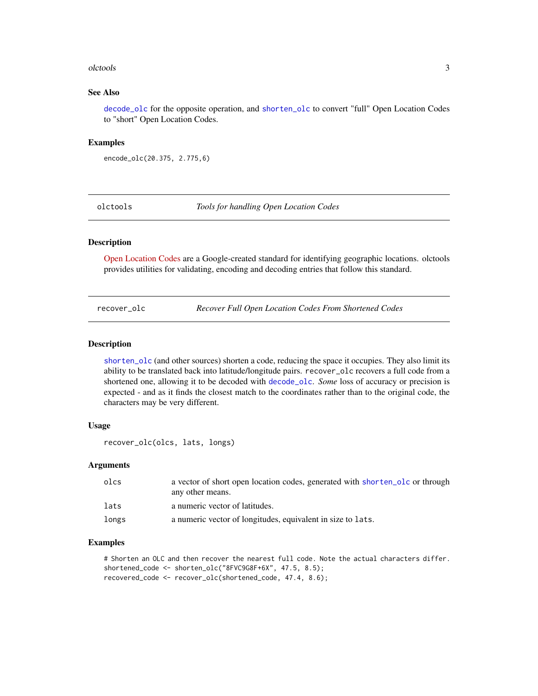#### <span id="page-2-0"></span>olctools 3

#### See Also

[decode\\_olc](#page-1-2) for the opposite operation, and [shorten\\_olc](#page-3-2) to convert "full" Open Location Codes to "short" Open Location Codes.

#### Examples

```
encode_olc(20.375, 2.775,6)
```
olctools *Tools for handling Open Location Codes*

#### Description

[Open Location Codes](http://openlocationcode.com/) are a Google-created standard for identifying geographic locations. olctools provides utilities for validating, encoding and decoding entries that follow this standard.

recover\_olc *Recover Full Open Location Codes From Shortened Codes*

#### Description

[shorten\\_olc](#page-3-2) (and other sources) shorten a code, reducing the space it occupies. They also limit its ability to be translated back into latitude/longitude pairs. recover\_olc recovers a full code from a shortened one, allowing it to be decoded with [decode\\_olc](#page-1-2). *Some* loss of accuracy or precision is expected - and as it finds the closest match to the coordinates rather than to the original code, the characters may be very different.

#### Usage

```
recover_olc(olcs, lats, longs)
```
#### Arguments

| olcs  | a vector of short open location codes, generated with shorten_olc or through |
|-------|------------------------------------------------------------------------------|
|       | any other means.                                                             |
| lats  | a numeric vector of latitudes.                                               |
| longs | a numeric vector of longitudes, equivalent in size to lats.                  |

#### Examples

```
# Shorten an OLC and then recover the nearest full code. Note the actual characters differ.
shortened_code <- shorten_olc("8FVC9G8F+6X", 47.5, 8.5);
recovered_code <- recover_olc(shortened_code, 47.4, 8.6);
```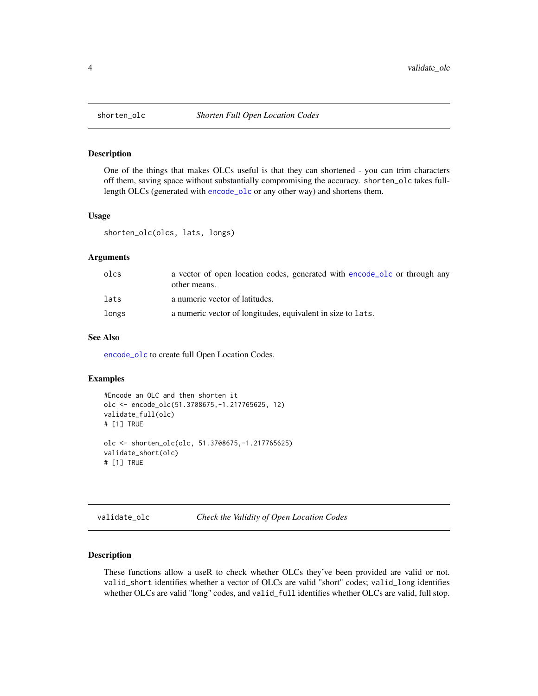<span id="page-3-2"></span><span id="page-3-0"></span>

#### Description

One of the things that makes OLCs useful is that they can shortened - you can trim characters off them, saving space without substantially compromising the accuracy. shorten\_olc takes fulllength OLCs (generated with [encode\\_olc](#page-1-1) or any other way) and shortens them.

#### Usage

shorten\_olc(olcs, lats, longs)

#### **Arguments**

| olcs  | a vector of open location codes, generated with encode olc or through any<br>other means. |
|-------|-------------------------------------------------------------------------------------------|
| lats  | a numeric vector of latitudes.                                                            |
| longs | a numeric vector of longitudes, equivalent in size to lats.                               |

#### See Also

[encode\\_olc](#page-1-1) to create full Open Location Codes.

#### Examples

```
#Encode an OLC and then shorten it
olc <- encode_olc(51.3708675,-1.217765625, 12)
validate_full(olc)
# [1] TRUE
olc <- shorten_olc(olc, 51.3708675,-1.217765625)
validate_short(olc)
# [1] TRUE
```

```
validate_olc Check the Validity of Open Location Codes
```
#### <span id="page-3-1"></span>Description

These functions allow a useR to check whether OLCs they've been provided are valid or not. valid\_short identifies whether a vector of OLCs are valid "short" codes; valid\_long identifies whether OLCs are valid "long" codes, and valid\_full identifies whether OLCs are valid, full stop.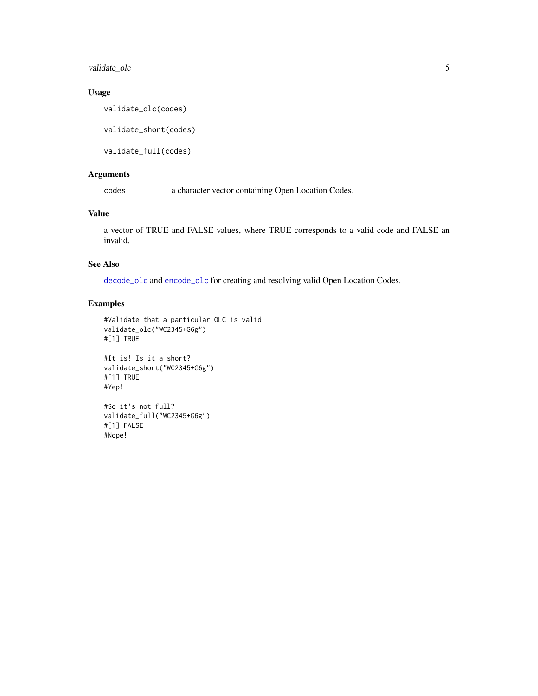<span id="page-4-0"></span>validate\_olc 5

#### Usage

validate\_olc(codes)

validate\_short(codes)

validate\_full(codes)

### Arguments

codes a character vector containing Open Location Codes.

### Value

a vector of TRUE and FALSE values, where TRUE corresponds to a valid code and FALSE an invalid.

#### See Also

[decode\\_olc](#page-1-2) and [encode\\_olc](#page-1-1) for creating and resolving valid Open Location Codes.

#### Examples

```
#Validate that a particular OLC is valid
validate_olc("WC2345+G6g")
#[1] TRUE
```
#It is! Is it a short? validate\_short("WC2345+G6g") #[1] TRUE #Yep!

#So it's not full? validate\_full("WC2345+G6g") #[1] FALSE #Nope!